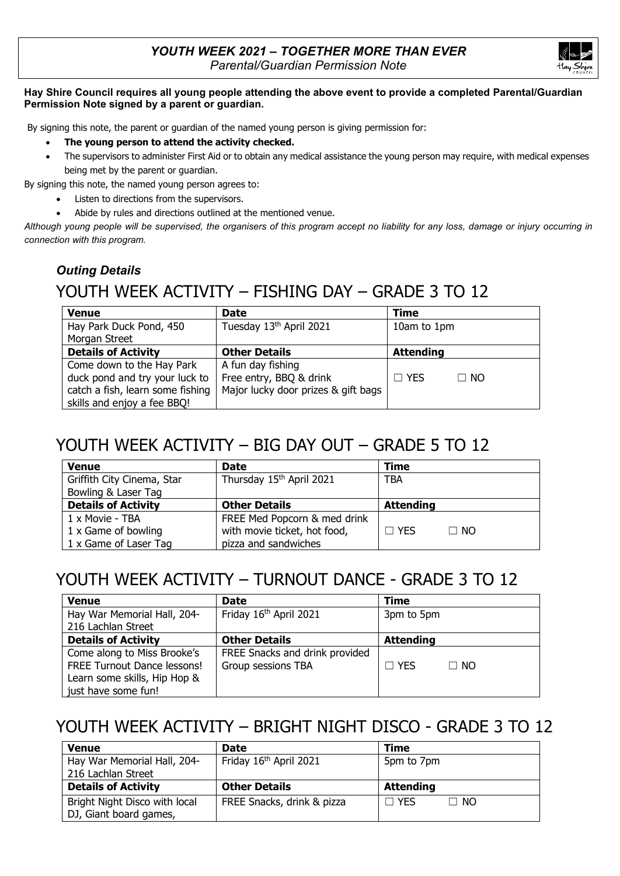

#### **Hay Shire Council requires all young people attending the above event to provide a completed Parental/Guardian Permission Note signed by a parent or guardian.**

By signing this note, the parent or guardian of the named young person is giving permission for:

- **The young person to attend the activity checked.**
- The supervisors to administer First Aid or to obtain any medical assistance the young person may require, with medical expenses being met by the parent or guardian.

By signing this note, the named young person agrees to:

- Listen to directions from the supervisors.
- Abide by rules and directions outlined at the mentioned venue.

*Although young people will be supervised, the organisers of this program accept no liability for any loss, damage or injury occurring in connection with this program.* 

#### *Outing Details*

# YOUTH WEEK ACTIVITY – FISHING DAY – GRADE 3 TO 12

| <b>Venue</b>                     | <b>Date</b>                         | <b>Time</b>             |
|----------------------------------|-------------------------------------|-------------------------|
| Hay Park Duck Pond, 450          | Tuesday 13th April 2021             | 10am to 1pm             |
| Morgan Street                    |                                     |                         |
| <b>Details of Activity</b>       | <b>Other Details</b>                | <b>Attending</b>        |
| Come down to the Hay Park        | A fun day fishing                   |                         |
| duck pond and try your luck to   | Free entry, BBQ & drink             | $\Box$ YES<br>$\Box$ NO |
| catch a fish, learn some fishing | Major lucky door prizes & gift bags |                         |
| skills and enjoy a fee BBQ!      |                                     |                         |

### YOUTH WEEK ACTIVITY – BIG DAY OUT – GRADE 5 TO 12

| <b>Venue</b>               | <b>Date</b>                  | <b>Time</b>             |  |
|----------------------------|------------------------------|-------------------------|--|
| Griffith City Cinema, Star | Thursday 15th April 2021     | TBA                     |  |
| Bowling & Laser Tag        |                              |                         |  |
| <b>Details of Activity</b> | <b>Other Details</b>         | <b>Attending</b>        |  |
| 1 x Movie - TBA            | FREE Med Popcorn & med drink |                         |  |
| 1 x Game of bowling        | with movie ticket, hot food, | $\Box$ YES<br>$\Box$ No |  |
| 1 x Game of Laser Tag      | pizza and sandwiches         |                         |  |

# YOUTH WEEK ACTIVITY – TURNOUT DANCE - GRADE 3 TO 12

| <b>Venue</b>                 | <b>Date</b>                    | <b>Time</b>               |
|------------------------------|--------------------------------|---------------------------|
| Hay War Memorial Hall, 204-  | Friday 16th April 2021         | 3pm to 5pm                |
| 216 Lachlan Street           |                                |                           |
| <b>Details of Activity</b>   | <b>Other Details</b>           | <b>Attending</b>          |
| Come along to Miss Brooke's  | FREE Snacks and drink provided |                           |
| FREE Turnout Dance lessons!  | Group sessions TBA             | $\sqcap$ yes<br>$\Box$ No |
| Learn some skills, Hip Hop & |                                |                           |
| just have some fun!          |                                |                           |

# YOUTH WEEK ACTIVITY – BRIGHT NIGHT DISCO - GRADE 3 TO 12

| <b>Venue</b>                  | <b>Date</b>                | <b>Time</b>                    |
|-------------------------------|----------------------------|--------------------------------|
| Hay War Memorial Hall, 204-   | Friday 16th April 2021     | 5pm to 7pm                     |
| 216 Lachlan Street            |                            |                                |
| <b>Details of Activity</b>    | <b>Other Details</b>       | <b>Attending</b>               |
|                               |                            |                                |
| Bright Night Disco with local | FREE Snacks, drink & pizza | $\sqcap$ yes<br>$\sqsupset$ NO |